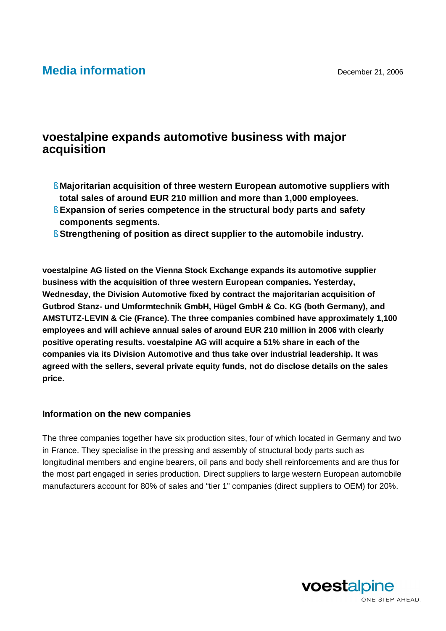## **Media information** December 21, 2006

## **voestalpine expands automotive business with major acquisition**

- § **Majoritarian acquisition of three western European automotive suppliers with total sales of around EUR 210 million and more than 1,000 employees.**
- § **Expansion of series competence in the structural body parts and safety components segments.**
- § **Strengthening of position as direct supplier to the automobile industry.**

**voestalpine AG listed on the Vienna Stock Exchange expands its automotive supplier business with the acquisition of three western European companies. Yesterday, Wednesday, the Division Automotive fixed by contract the majoritarian acquisition of Gutbrod Stanz- und Umformtechnik GmbH, Hügel GmbH & Co. KG (both Germany), and AMSTUTZ-LEVIN & Cie (France). The three companies combined have approximately 1,100 employees and will achieve annual sales of around EUR 210 million in 2006 with clearly positive operating results. voestalpine AG will acquire a 51% share in each of the companies via its Division Automotive and thus take over industrial leadership. It was agreed with the sellers, several private equity funds, not do disclose details on the sales price.**

## **Information on the new companies**

The three companies together have six production sites, four of which located in Germany and two in France. They specialise in the pressing and assembly of structural body parts such as longitudinal members and engine bearers, oil pans and body shell reinforcements and are thus for the most part engaged in series production. Direct suppliers to large western European automobile manufacturers account for 80% of sales and "tier 1" companies (direct suppliers to OEM) for 20%.